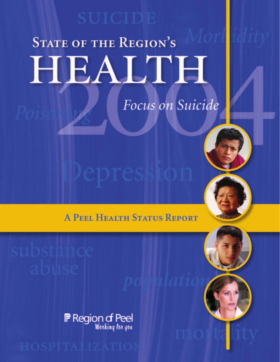# **STATE OF THE REGION'S** HEALTH Focus on Suicide





**F** Region of Peel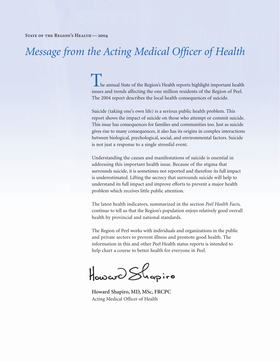#### **State of the Region's Health — 2004**

## *Message from the Acting Medical Officer of Health*

The annual State of the Region's Health reports highlight important health issues and trends affecting the one million residents of the Region of Peel. The 2004 report describes the local health consequences of suicide.

Suicide (taking one's own life) is a serious public health problem. This report shows the impact of suicide on those who attempt or commit suicide. This issue has consequences for families and communities too. Just as suicide gives rise to many consequences, it also has its origins in complex interactions between biological, psychological, social, and environmental factors. Suicide is not just a response to a single stressful event.

Understanding the causes and manifestations of suicide is essential in addressing this important health issue. Because of the stigma that surrounds suicide, it is sometimes not reported and therefore its full impact is underestimated. Lifting the secrecy that surrounds suicide will help to understand its full impact and improve efforts to prevent a major health problem which receives little public attention.

The latest health indicators, summarized in the section *Peel Health Facts,* continue to tell us that the Region's population enjoys relatively good overall health by provincial and national standards.

The Region of Peel works with individuals and organizations in the public and private sectors to prevent illness and promote good health. The information in this and other Peel Health status reports is intended to help chart a course to better health for everyone in Peel.

Howard Shapiro

**Howard Shapiro, MD, MSc, FRCPC** Acting Medical Officer of Health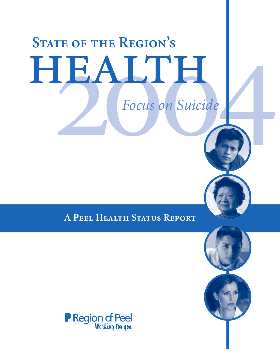## HEALTH STATE OF THE REGION'S *Focus on Suicide*

## **A Peel Health Status Report**

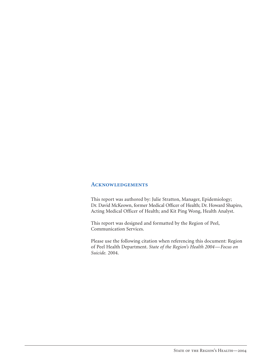#### **Acknowledgements**

This report was authored by: Julie Stratton, Manager, Epidemiology; Dr. David McKeown, former Medical Officer of Health; Dr. Howard Shapiro, Acting Medical Officer of Health; and Kit Ping Wong, Health Analyst.

This report was designed and formatted by the Region of Peel, Communication Services.

Please use the following citation when referencing this document: Region of Peel Health Department. *State of the Region's Health 2004—Focus on Suicide.* 2004.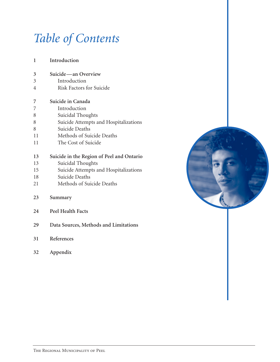## *Table of Contents*

| $\mathbf{1}$   | Introduction                              |
|----------------|-------------------------------------------|
| $\mathfrak{z}$ | Suicide — an Overview                     |
| $\mathfrak{Z}$ | Introduction                              |
| $\overline{4}$ | <b>Risk Factors for Suicide</b>           |
| 7              | Suicide in Canada                         |
| 7              | Introduction                              |
| 8              | Suicidal Thoughts                         |
| 8              | Suicide Attempts and Hospitalizations     |
| 8              | Suicide Deaths                            |
| 11             | Methods of Suicide Deaths                 |
| 11             | The Cost of Suicide                       |
| 13             | Suicide in the Region of Peel and Ontario |
| 13             | Suicidal Thoughts                         |
| 15             | Suicide Attempts and Hospitalizations     |
| 18             | Suicide Deaths                            |
| 21             | Methods of Suicide Deaths                 |
| 23             | Summary                                   |
| 24             | Peel Health Facts                         |
| 29             | Data Sources, Methods and Limitations     |
| 31             | References                                |
| 32             | Appendix                                  |

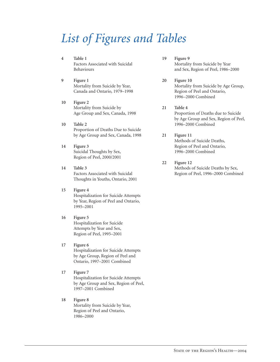## *List of Figures and Tables*

- **4 Table 1** Factors Associated with Suicidal Behaviours
- **9 Figure 1** Mortality from Suicide by Year, Canada and Ontario, 1979–1998
- **10 Figure 2** Mortality from Suicide by Age Group and Sex, Canada, 1998
- **10 Table 2** Proportion of Deaths Due to Suicide by Age Group and Sex, Canada, 1998
- **14 Figure 3** Suicidal Thoughts by Sex, Region of Peel, 2000/2001
- **14 Table 3** Factors Associated with Suicidal Thoughts in Youths, Ontario, 2001

#### **15 Figure 4** Hospitalization for Suicide Attempts by Year, Region of Peel and Ontario, 1995–2001

**16 Figure 5** Hospitalization for Suicide Attempts by Year and Sex, Region of Peel, 1995–2001

**17 Figure 6**

Hospitalization for Suicide Attempts by Age Group, Region of Peel and Ontario, 1997–2001 Combined

**17 Figure 7**

Hospitalization for Suicide Attempts by Age Group and Sex, Region of Peel, 1997–2001 Combined

#### **18 Figure 8**

Mortality from Suicide by Year, Region of Peel and Ontario, 1986–2000

- **19 Figure 9** Mortality from Suicide by Year and Sex, Region of Peel, 1986–2000
- **20 Figure 10** Mortality from Suicide by Age Group, Region of Peel and Ontario, 1996–2000 Combined

#### **21 Table 4** Proportion of Deaths due to Suicide by Age Group and Sex, Region of Peel, 1996–2000 Combined

- **21 Figure 11** Methods of Suicide Deaths, Region of Peel and Ontario, 1996–2000 Combined
- **22 Figure 12** Methods of Suicide Deaths by Sex, Region of Peel, 1996–2000 Combined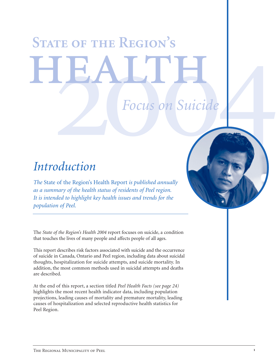# TE OF THE REGION'S STATE OF THE REGION'S<br>
HEALTH *Focus on Suicide*

## *Introduction*

*The* State of the Region's Health Report *is published annually as a summary of the health status of residents of Peel region. It is intended to highlight key health issues and trends for the population of Peel.*

The *State of the Region's Health 2004* report focuses on suicide, a condition that touches the lives of many people and affects people of all ages.

This report describes risk factors associated with suicide and the occurrence of suicide in Canada, Ontario and Peel region, including data about suicidal thoughts, hospitalization for suicide attempts, and suicide mortality. In addition, the most common methods used in suicidal attempts and deaths are described.

At the end of this report, a section titled *Peel Health Facts (see page 24)* highlights the most recent health indicator data, including population projections, leading causes of mortality and premature mortality, leading causes of hospitalization and selected reproductive health statistics for Peel Region.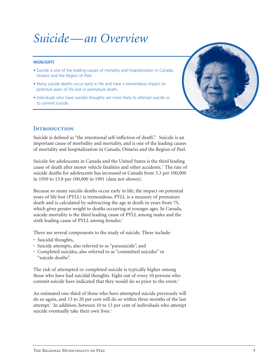## *Suicide—an Overview*

#### **HIGHLIGHTS**

- Suicide is one of the leading causes of mortality and hospitalization in Canada, Ontario and the Region of Peel.
- Many suicide deaths occur early in life and have a tremendous impact on potential years of life lost or premature death.
- Individuals who have suicidal thoughts are more likely to attempt suicide or to commit suicide.



#### **INTRODUCTION**

Suicide is defined as "the intentional self-infliction of death".<sup>1</sup> Suicide is an important cause of morbidity and mortality, and is one of the leading causes of mortality and hospitalization in Canada, Ontario and the Region of Peel.

Suicide for adolescents in Canada and the United States is the third leading cause of death after motor vehicle fatalities and other accidents.<sup>2</sup> The rate of suicide deaths for adolescents has increased in Canada from 3.3 per 100,000 in 1950 to 13.8 per 100,000 in 1991 (data not shown).

Because so many suicide deaths occur early in life, the impact on potential years of life lost (PYLL) is tremendous. PYLL is a measure of premature death and is calculated by subtracting the age at death in years from 75, which gives greater weight to deaths occurring at younger ages. In Canada, suicide mortality is the third leading cause of PYLL among males and the sixth leading cause of PYLL among females.<sup>1</sup>

There are several components to the study of suicide. These include:

- Suicidal thoughts,
- Suicide attempts, also referred to as "parasuicide", and
- Completed suicides, also referred to as "committed suicides" or "suicide deaths".

The risk of attempted or completed suicide is typically higher among those who have had suicidal thoughts. Eight out of every 10 persons who commit suicide have indicated that they would do so prior to the event.<sup>3</sup>

An estimated one-third of those who have attempted suicide previously will do so again, and 15 to 20 per cent will do so within three months of the last attempt.<sup>3</sup> In addition, between 10 to 13 per cent of individuals who attempt suicide eventually take their own lives.<sup>1</sup>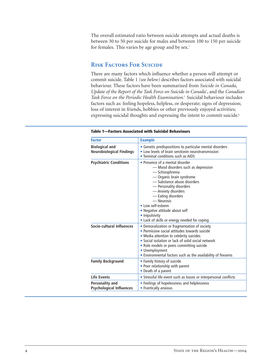The overall estimated ratio between suicide attempts and actual deaths is between 30 to 50 per suicide for males and between 100 to 150 per suicide for females. This varies by age group and by sex.<sup>1</sup>

#### **RISK FACTORS FOR SUICIDE**

There are many factors which influence whether a person will attempt or commit suicide. Table 1 *(see below)* describes factors associated with suicidal behaviour. These factors have been summarized from *Suicide in Canada, Update of the Report of the Task Force on Suicide in Canada*<sup>1</sup> , and the *Canadian Task Force on the Periodic Health Examination*. <sup>3</sup> Suicidal behaviour includes factors such as: feeling hopeless, helpless, or desperate; signs of depression; loss of interest in friends, hobbies or other previously enjoyed activities; expressing suicidal thoughts and expressing the intent to commit suicide.**<sup>4</sup>**

| <b>Factor</b>                                            | <b>Example</b>                                                                                                                                                                                                                                                                                                                                                     |  |  |  |  |
|----------------------------------------------------------|--------------------------------------------------------------------------------------------------------------------------------------------------------------------------------------------------------------------------------------------------------------------------------------------------------------------------------------------------------------------|--|--|--|--|
| <b>Biological and</b><br><b>Neurobiological Findings</b> | • Genetic predispositions to particular mental disorders<br>• Low levels of brain serotonin neurotransmission<br>• Terminal conditions such as AIDS                                                                                                                                                                                                                |  |  |  |  |
| <b>Psychiatric Conditions</b>                            | • Presence of a mental disorder<br>- Mood disorders such as depression<br>— Schizophrenia<br>— Organic brain syndrome<br>- Substance abuse disorders<br>- Personality disorders<br>- Anxiety disorders<br>- Eating disorders<br>— Neurosis<br>· Low self-esteem<br>• Negative attitude about self<br>• Impulsivity<br>• Lack of skills or energy needed for coping |  |  |  |  |
| Socio-cultural Influences                                | • Demoralization or fragmentation of society<br>• Permissive social attitudes towards suicide<br>• Media attention to celebrity suicides<br>• Social isolation or lack of solid social network<br>• Role models or peers committing suicide<br>• Unemployment<br>• Environmental factors such as the availability of firearms                                      |  |  |  |  |
| <b>Family Background</b>                                 | • Family history of suicide<br>• Poor relationship with parent<br>• Death of a parent                                                                                                                                                                                                                                                                              |  |  |  |  |
| <b>Life Events</b>                                       | • Stressful life event such as losses or interpersonal conflicts                                                                                                                                                                                                                                                                                                   |  |  |  |  |
| Personality and<br><b>Psychological Influences</b>       | • Feelings of hopelessness and helplessness<br>• Frantically anxious                                                                                                                                                                                                                                                                                               |  |  |  |  |

#### **Table 1—Factors Associated with Suicidal Behaviours**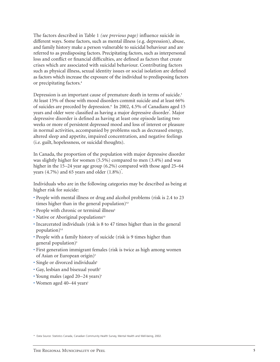The factors described in Table 1 *(see previous page)* influence suicide in different ways. Some factors, such as mental illness (e.g. depression), abuse, and family history make a person vulnerable to suicidal behaviour and are referred to as predisposing factors. Precipitating factors, such as interpersonal loss and conflict or financial difficulties, are defined as factors that create crises which are associated with suicidal behaviour. Contributing factors such as physical illness, sexual identity issues or social isolation are defined as factors which increase the exposure of the individual to predisposing factors or precipitating factors.**<sup>4</sup>**

Depression is an important cause of premature death in terms of suicide.**<sup>5</sup>** At least 15% of those with mood disorders commit suicide and at least 66% of suicides are preceded by depression.**<sup>6</sup>** In 2002, 4.5% of Canadians aged 15 years and older were classified as having a major depressive disorder<sup>\*</sup>. Major depressive disorder is defined as having at least one episode lasting two weeks or more of persistent depressed mood and loss of interest or pleasure in normal activities, accompanied by problems such as decreased energy, altered sleep and appetite, impaired concentration, and negative feelings (i.e. guilt, hopelessness, or suicidal thoughts).

In Canada, the proportion of the population with major depressive disorder was slightly higher for women (5.5%) compared to men (3.4%) and was higher in the 15–24 year age group (6.2%) compared with those aged 25–64 years  $(4.7\%)$  and 65 years and older  $(1.8\%)$ .

Individuals who are in the following categories may be described as being at higher risk for suicide:

- People with mental illness or drug and alcohol problems (risk is 2.4 to 23 times higher than in the general population)<sup>1,3</sup>
- People with chronic or terminal illness**<sup>3</sup>**
- Native or Aboriginal populations<sup>1,3</sup>
- Incarcerated individuals (risk is 8 to 47 times higher than in the general population)**1,3**
- People with a family history of suicide (risk is 9 times higher than general population)**<sup>3</sup>**
- First generation immigrant females (risk is twice as high among women of Asian or European origin)**<sup>3</sup>**
- Single or divorced individuals**<sup>5</sup>**
- Gay, lesbian and bisexual youth**<sup>5</sup>**
- Young males (aged 20–24 years)**<sup>1</sup>**
- Women aged 40–44 years<sup>1</sup>

<sup>\*</sup> Data Source: Statistics Canada, Canadian Community Health Survey, Mental Health and Well-being, 2002.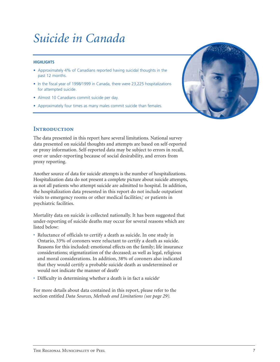## *Suicide in Canada*

#### **HIGHLIGHTS**

- Approximately 4% of Canadians reported having suicidal thoughts in the past 12 months.
- In the fiscal year of 1998/1999 in Canada, there were 23,225 hospitalizations for attempted suicide.
- Almost 10 Canadians commit suicide per day.
- Approximately four times as many males commit suicide than females.



#### **Introduction**

The data presented in this report have several limitations. National survey data presented on suicidal thoughts and attempts are based on self-reported or proxy information. Self-reported data may be subject to errors in recall, over or under-reporting because of social desirability, and errors from proxy reporting.

Another source of data for suicide attempts is the number of hospitalizations. Hospitalization data do not present a complete picture about suicide attempts, as not all patients who attempt suicide are admitted to hospital. In addition, the hospitalization data presented in this report do not include outpatient visits to emergency rooms or other medical facilities,**<sup>7</sup>** or patients in psychiatric facilities.

Mortality data on suicide is collected nationally. It has been suggested that under-reporting of suicide deaths may occur for several reasons which are listed below:

- Reluctance of officials to certify a death as suicide. In one study in Ontario, 33% of coroners were reluctant to certify a death as suicide. Reasons for this included: emotional effects on the family; life insurance considerations; stigmatization of the deceased; as well as legal, religious and moral considerations. In addition, 38% of coroners also indicated that they would certify a probable suicide death as undetermined or would not indicate the manner of death<sup>1</sup>
- Difficulty in determining whether a death is in fact a suicide<sup>1</sup>

For more details about data contained in this report, please refer to the section entitled *Data Sources, Methods and Limitations (see page 29).*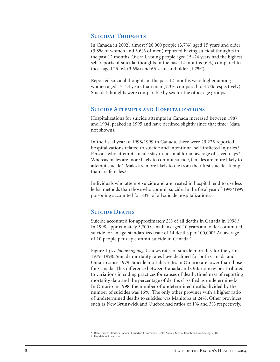#### **SUICIDAL THOUGHTS**

In Canada in 2002<sup>\*</sup>, almost 920,000 people (3.7%) aged 15 years and older (3.8% of women and 3.6% of men) reported having suicidal thoughts in the past 12 months. Overall, young people aged 15–24 years had the highest self-reports of suicidal thoughts in the past 12 months (6%) compared to those aged 25–64 (3.6%) and 65 years and older (1.7%† ).

Reported suicidal thoughts in the past 12 months were higher among women aged 15–24 years than men (7.3% compared to 4.7% respectively). Suicidal thoughts were comparable by sex for the other age groups.

#### **Suicide Attempts and Hospitalizations**

Hospitalizations for suicide attempts in Canada increased between 1987 and 1994, peaked in 1995 and have declined slightly since that time **<sup>4</sup>** (data not shown).

In the fiscal year of 1998/1999 in Canada, there were 23,225 reported hospitalizations related to suicide and intentional self-inflicted injuries.**<sup>7</sup>** Persons who attempt suicide stay in hospital for an average of seven days.**<sup>7</sup>** Whereas males are more likely to commit suicide, females are more likely to attempt suicide<sup>7</sup>. Males are more likely to die from their first suicide attempt than are females.**<sup>7</sup>**

Individuals who attempt suicide and are treated in hospital tend to use less lethal methods than those who commit suicide. In the fiscal year of 1998/1999, poisoning accounted for 83% of all suicide hospitalizations.**<sup>7</sup>**

#### **SUICIDE DEATHS**

Suicide accounted for approximately 2% of all deaths in Canada in 1998.**<sup>3</sup>** In 1998, approximately 3,700 Canadians aged 10 years and older committed suicide for an age-standardized rate of 14 deaths per 100,000**<sup>7</sup>** . An average of 10 people per day commit suicide in Canada.**<sup>7</sup>**

Figure 1 *(see following page)* shows rates of suicide mortality for the years 1979–1998. Suicide mortality rates have declined for both Canada and Ontario since 1979. Suicide mortality rates in Ontario are lower than those for Canada. This difference between Canada and Ontario may be attributed to variations in coding practices for causes of death, timeliness of reporting mortality data and the percentage of deaths classified as undetermined.**<sup>7</sup>** In Ontario in 1998, the number of undetermined deaths divided by the number of suicides was 16%. The only other province with a higher ratio of undetermined deaths to suicides was Manitoba at 24%. Other provinces such as New Brunswick and Quebec had ratios of 1% and 3% respectively.**<sup>7</sup>**

† Use data with caution

Data source: Statistics Canada, Canadian Community Health Survey, Mental Health and Well-being, 2002.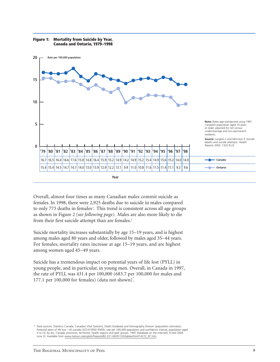

**Figure 1: Mortality from Suicide by Year Canada and Ontario, 1979–1998**

Overall, almost four times as many Canadian males commit suicide as females. In 1998, there were 2,925 deaths due to suicide in males compared to only 773 deaths in females<sup>7</sup>. This trend is consistent across all age groups as shown in Figure 2 *(see following page).* Males are also more likely to die from their first suicide attempt than are females.**<sup>7</sup>**

Suicide mortality increases substantially by age 15–19 years, and is highest among males aged 80 years and older, followed by males aged 35–44 years. For females, mortality rates increase at age 15–19 years, and are highest among women aged 45–49 years.

Suicide has a tremendous impact on potential years of life lost (PYLL) in young people, and in particular, in young men. Overall, in Canada in 1997, the rate of PYLL was 431.4 per 100,000 (683.7 per 100,000 for males and 177.1 per 100,000 for females) (data not shown)<sup>\*</sup>.

\* Data sources: Statistics Canada, Canadian Vital Statistics, Death Database and Demography Division (population estimates). Potential years of life lost—all suicides (ICD-9 E950–E959), rate per 100,000 population and confidence interval, population aged 0 to 74, by sex, Canada, provinces, territories, health regions and peer groups, 1997 [database on the Internet]. [Cited 2004 June 3]. Available from www.statcan.ca/english/freepub/82-221-XIE/01103/tables/html/14272\_97.htm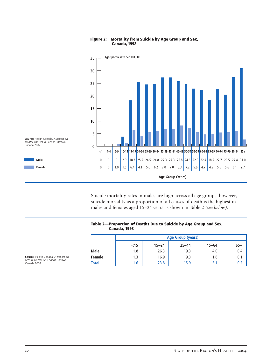

#### **Figure 2: Mortality from Suicide by Age Group and Sex, Canada, 1998**

Suicide mortality rates in males are high across all age groups; however, suicide mortality as a proportion of all causes of death is the highest in males and females aged 15–24 years as shown in Table 2 *(see below)*.

|                                                     |                                               | Gunuuu, 1990      |      |      |     |     |  |  |
|-----------------------------------------------------|-----------------------------------------------|-------------------|------|------|-----|-----|--|--|
|                                                     |                                               | Age Group (years) |      |      |     |     |  |  |
|                                                     | $<$ 15<br>$15 - 24$<br>$25 - 44$<br>$45 - 64$ |                   |      |      |     |     |  |  |
|                                                     | <b>Male</b>                                   | 8. ا              | 26.3 | 19.3 | 4.0 | 0.4 |  |  |
| Source: Health Canada. A Report on                  | Female                                        | 1.3               | 16.9 | 9.3  | 1.8 | 0.1 |  |  |
| Mental Illnesses in Canada. Ottawa,<br>Canada 2002. | <b>Total</b>                                  | . 6،              | 23.8 | 15.9 | 3.1 | 0.2 |  |  |
|                                                     |                                               |                   |      |      |     |     |  |  |

#### **Table 2—Proportion of Deaths Due to Suicide by Age Group and Sex, Canada, 1998**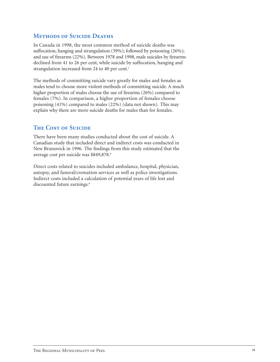#### **Methods of Suicide Deaths**

In Canada in 1998, the most common method of suicide deaths was suffocation, hanging and strangulation (39%); followed by poisoning (26%); and use of firearms (22%). Between 1978 and 1998, male suicides by firearms declined from 41 to 26 per cent, while suicide by suffocation, hanging and strangulation increased from 24 to 40 per cent.**<sup>7</sup>**

The methods of committing suicide vary greatly for males and females as males tend to choose more violent methods of committing suicide. A much higher proportion of males choose the use of firearms (26%) compared to females (7%). In comparison, a higher proportion of females choose poisoning (41%) compared to males (22%) (data not shown). This may explain why there are more suicide deaths for males than for females.

#### **THE COST OF SUICIDE**

There have been many studies conducted about the cost of suicide. A Canadian study that included direct and indirect costs was conducted in New Brunswick in 1996. The findings from this study estimated that the average cost per suicide was \$849,878.**<sup>8</sup>**

Direct costs related to suicides included ambulance, hospital, physician, autopsy, and funeral/cremation services as well as police investigations. Indirect costs included a calculation of potential years of life lost and discounted future earnings.**8**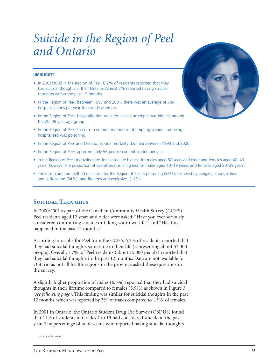## *Suicide in the Region of Peel and Ontario*

#### **HIGHLIGHTS**

- In 2001/2002 in the Region of Peel, 6.2% of residents reported that they had suicidal thoughts in their lifetime. Almost 2% reported having suicidal thoughts within the past 12 months.
- In the Region of Peel, between 1997 and 2001, there was an average of 784 hospitalizations per year for suicide attempts.
- In the Region of Peel, hospitalization rates for suicide attempts was highest among the 20–49 year age group.
- In the Region of Peel, the most common method of attempting suicide and being hospitalized was poisoning.
- In the Region of Peel and Ontario, suicide mortality declined between 1993 and 2000.
- In the Region of Peel, approximately 56 people commit suicide per year.
- In the Region of Peel, mortality rates for suicide are highest for males aged 80 years and older and females aged 40–49 years; however the proportion of overall deaths is highest for males aged 10–19 years, and females aged 20–29 years.
- The most common method of suicide for the Region of Peel is poisoning (36%); followed by hanging, strangulation and suffocation (34%); and firearms and explosives (11%).

#### **Suicidal Thoughts**

In 2000/2001 as part of the Canadian Community Health Survey (CCHS), Peel residents aged 12 years and older were asked: "Have you ever seriously considered committing suicide or taking your own life?" and "Has this happened in the past 12 months?"

According to results for Peel from the CCHS, 6.2% of residents reported that they had suicidal thoughts sometime in their life (representing about 53,300 people). Overall, 1.7%† of Peel residents (about 15,000 people) reported that they had suicidal thoughts in the past 12 months. Data are not available for Ontario as not all health regions in the province asked these questions in the survey.

A slightly higher proportion of males (6.5%) reported that they had suicidal thoughts in their lifetime compared to females (5.9%) as shown in Figure 3 *(see following page)*. This finding was similar for suicidal thoughts in the past 12 months, which was reported by  $2\%$ <sup>†</sup> of males compared to  $1.5\%$ <sup>†</sup> of females.

In 2001 in Ontario, the Ontario Student Drug Use Survey (OSDUS) found that 11% of students in Grades 7 to 13 had considered suicide in the past year. The percentage of adolescents who reported having suicidal thoughts

† Use data with caution

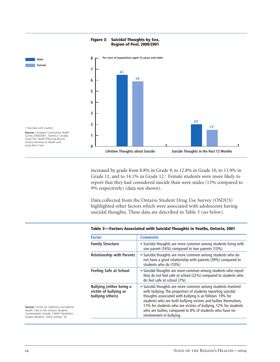

#### **Figure 3: Suicidal Thoughts by Sex, Region of Peel, 2000/2001**

increased by grade from 8.8% in Grade 9, to 12.8% in Grade 10, to 13.9% in Grade 11, and to 14.1% in Grade 12.**<sup>2</sup>** Female students were more likely to report that they had considered suicide than were males (13% compared to 9% respectively) (data not shown).

Data collected from the Ontario Student Drug Use Survey (OSDUS) highlighted other factors which were associated with adolescents having suicidal thoughts. These data are described in Table 3 *(see below)*.

| <b>Factor</b>                                                                | <b>Comments</b>                                                                                                                                                                                                                                                                                                                                                                                                    |
|------------------------------------------------------------------------------|--------------------------------------------------------------------------------------------------------------------------------------------------------------------------------------------------------------------------------------------------------------------------------------------------------------------------------------------------------------------------------------------------------------------|
| <b>Family Structure</b>                                                      | • Suicidal thoughts are more common among students living with<br>one parent (16%) compared to two parents (10%)                                                                                                                                                                                                                                                                                                   |
| <b>Relationship with Parents</b>                                             | • Suicidal thoughts are more common among students who do<br>not have a good relationship with parents (39%) compared to<br>students who do (10%)                                                                                                                                                                                                                                                                  |
| <b>Feeling Safe at School</b>                                                | • Suicidal thoughts are more common among students who report<br>they do not feel safe at school (22%) compared to students who<br>do feel safe at school (7%)                                                                                                                                                                                                                                                     |
| <b>Bullying (either being a</b><br>victim of bullying or<br>bullying others) | • Suicidal thoughts are more common among students involved<br>with bullying. The proportion of students reporting suicidal<br>thoughts associated with bullying is as follows: 19% for<br>students who are both bullying victims and bullies themselves,<br>17% for students who are victims of bullying, 12% for students<br>who are bullies, compared to 8% of students who have no<br>involvement in bullying. |

#### **Table 3—Factors Associated with Suicidal Thoughts in Youths, Ontario, 2001**

**Source:** Centre for Addiction and Mental Health. *One in Ten Ontario Students Contemplates Suicide.* CAMH Population Studies eBulletin. 2003 Jan/Feb; 18.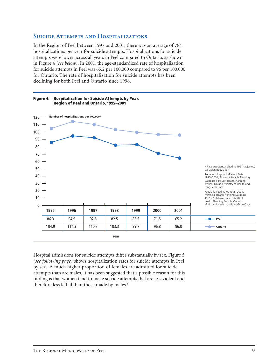#### **Suicide Attempts and Hospitalizations**

In the Region of Peel between 1997 and 2001, there was an average of 784 hospitalizations per year for suicide attempts. Hospitalizations for suicide attempts were lower across all years in Peel compared to Ontario, as shown in Figure 4 *(see below)*. In 2001, the age-standardized rate of hospitalization for suicide attempts in Peel was 65.2 per 100,000 compared to 96 per 100,000 for Ontario. The rate of hospitalization for suicide attempts has been declining for both Peel and Ontario since 1996.



Hospital admissions for suicide attempts differ substantially by sex. Figure 5 *(see following page)* shows hospitalization rates for suicide attempts in Peel by sex. A much higher proportion of females are admitted for suicide attempts than are males. It has been suggested that a possible reason for this finding is that women tend to make suicide attempts that are less violent and therefore less lethal than those made by males.**7**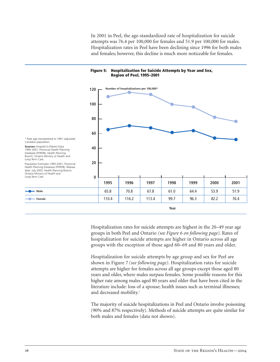In 2001 in Peel, the age-standardized rate of hospitalization for suicide attempts was 76.4 per 100,000 for females and 51.9 per 100,000 for males. Hospitalization rates in Peel have been declining since 1996 for both males and females; however, this decline is much more noticeable for females.



#### **Figure 5: Hospitalization for Suicide Attempts by Year and Sex, Region of Peel, 1995–2001**

Hospitalization rates for suicide attempts are highest in the 20–49 year age groups in both Peel and Ontario *(see Figure 6 on following page)*. Rates of hospitalization for suicide attempts are higher in Ontario across all age groups with the exception of those aged 60–69 and 80 years and older.

Hospitalization for suicide attempts by age group and sex for Peel are shown in Figure 7 *(see following page)*. Hospitalization rates for suicide attempts are higher for females across all age groups except those aged 80 years and older, where males surpass females. Some possible reasons for this higher rate among males aged 80 years and older that have been cited in the literature include: loss of a spouse; health issues such as terminal illnesses; and decreased mobility.<sup>1</sup>

The majority of suicide hospitalizations in Peel and Ontario involve poisoning (90% and 87% respectively). Methods of suicide attempts are quite similar for both males and females (data not shown).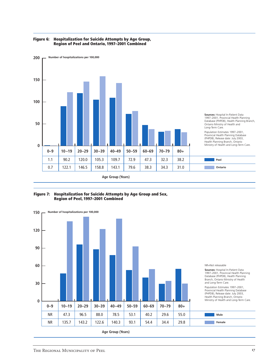

#### **Figure 6: Hospitalization for Suicide Attempts by Age Group, Region of Peel and Ontario, 1997–2001 Combined**

**Figure 7: Hospitalization for Suicide Attempts by Age Group and Sex, Region of Peel, 1997–2001 Combined** 

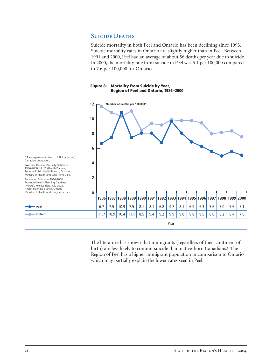#### **Suicide Deaths**

Suicide mortality in both Peel and Ontario has been declining since 1993. Suicide mortality rates in Ontario are slightly higher than in Peel. Between 1991 and 2000, Peel had an average of about 56 deaths per year due to suicide. In 2000, the mortality rate from suicide in Peel was 5.1 per 100,000 compared to 7.6 per 100,000 for Ontario.



The literature has shown that immigrants (regardless of their continent of birth) are less likely to commit suicide than native-born Canadians.**<sup>9</sup>** The Region of Peel has a higher immigrant population in comparison to Ontario which may partially explain the lower rates seen in Peel.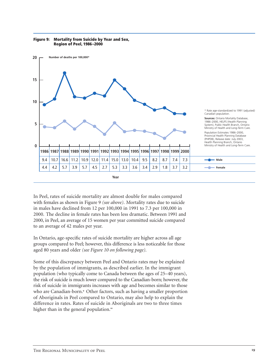

#### **Figure 9: Mortality from Suicide by Year and Sex, Region of Peel, 1986–2000**

In Peel, rates of suicide mortality are almost double for males compared with females as shown in Figure 9 *(see above)*. Mortality rates due to suicide in males have declined from 12 per 100,000 in 1991 to 7.3 per 100,000 in 2000. The decline in female rates has been less dramatic. Between 1991 and 2000, in Peel, an average of 15 women per year committed suicide compared to an average of 42 males per year.

In Ontario, age-specific rates of suicide mortality are higher across all age groups compared to Peel; however, this difference is less noticeable for those aged 80 years and older *(see Figure 10 on following page)*.

Some of this discrepancy between Peel and Ontario rates may be explained by the population of immigrants, as described earlier. In the immigrant population (who typically come to Canada between the ages of 25–40 years), the risk of suicide is much lower compared to the Canadian-born; however, the risk of suicide in immigrants increases with age and becomes similar to those who are Canadian-born.**<sup>9</sup>** Other factors, such as having a smaller proportion of Aboriginals in Peel compared to Ontario, may also help to explain the difference in rates. Rates of suicide in Aboriginals are two to three times higher than in the general population.<sup>10</sup>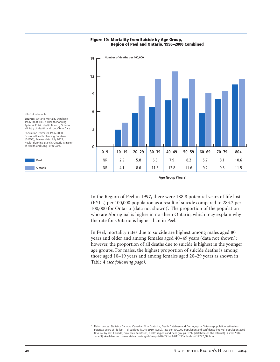

#### **Figure 10: Mortality from Suicide by Age Group, Region of Peel and Ontario, 1996–2000 Combined**

In the Region of Peel in 1997, there were 188.8 potential years of life lost (PYLL) per 100,000 population as a result of suicide compared to 283.2 per 100,000 for Ontario (data not shown)\* . The proportion of the population who are Aboriginal is higher in northern Ontario, which may explain why the rate for Ontario is higher than in Peel.

In Peel, mortality rates due to suicide are highest among males aged 80 years and older and among females aged 40–49 years (data not shown); however, the proportion of all deaths due to suicide is highest in the younger age groups. For males, the highest proportion of suicide deaths is among those aged 10–19 years and among females aged 20–29 years as shown in Table 4 *(see following page).*

<sup>\*</sup> Data sources: Statistics Canada, Canadian Vital Statistics, Death Database and Demography Division (population estimates). Potential years of life lost—all suicides (ICD-9 E950–E959), rate per 100,000 population and confidence interval, population aged 0 to 74, by sex, Canada, provinces, territories, health regions and peer groups, 1997 [database on the Internet]. [Cited 2004 June 3]. Available from www.statcan.ca/english/freepub/82-221-XIE/01103/tables/html/14272\_97.htm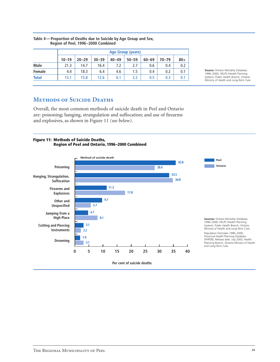|               |           | <b>Age Group (years)</b> |           |           |           |           |           |       |  |
|---------------|-----------|--------------------------|-----------|-----------|-----------|-----------|-----------|-------|--|
|               | $10 - 19$ | $20 - 29$                | $30 - 39$ | $40 - 49$ | $50 - 59$ | $60 - 69$ | $70 - 79$ | $80+$ |  |
| <b>Male</b>   | 21.3      | 14.7                     | 16.4      | 7.2       | 2.7       | 0.6       | 0.4       | 0.2   |  |
| <b>Female</b> | 4.4       | 18.3                     | 6.4       | 4.6       | 1.5       | 0.4       | 0.2       | 0.1   |  |
| <b>Total</b>  | 15.1      | 15.8                     | 12.6      | 6.1       | 2.2       | 0.5       | 0.3       | 0.1   |  |

**Table 4—Proportion of Deaths due to Suicide by Age Group and Sex, Region of Peel, 1996–2000 Combined**

> **Source: Ontario Mortality Database,** 1996–2000, HELPS (Health Planning System), Public Health Branch, Ontario Ministry of Health and Long-Term Care.

#### **Methods of Suicide Deaths**

Overall, the most common methods of suicide death in Peel and Ontario are: poisoning; hanging, strangulation and suffocation; and use of firearms and explosives, as shown in Figure 11 *(see below)*.



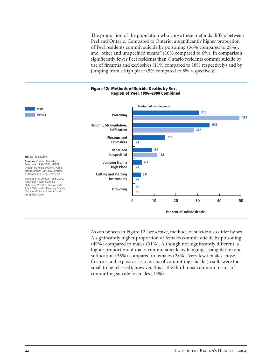The proportion of the population who chose these methods differs between Peel and Ontario. Compared to Ontario, a significantly higher proportion of Peel residents commit suicide by poisoning (36% compared to 28%), and "other and unspecified means" (10% compared to 6%). In comparison, significantly fewer Peel residents than Ontario residents commit suicide by use of firearms and explosives (11% compared to 18% respectively) and by jumping from a high place (5% compared to 8% respectively).



#### **Figure 12: Methods of Suicide Deaths by Sex, Region of Peel, 1996–2000 Combined**

As can be seen in Figure 12 *(see above)*, methods of suicide also differ by sex. A significantly higher proportion of females commit suicide by poisoning (49%) compared to males (31%). Although not significantly different, a higher proportion of males commit suicide by hanging, strangulation and suffocation (36%) compared to females (28%). Very few females chose firearms and explosives as a means of committing suicide (results were too small to be released); however, this is the third most common means of committing suicide for males (15%).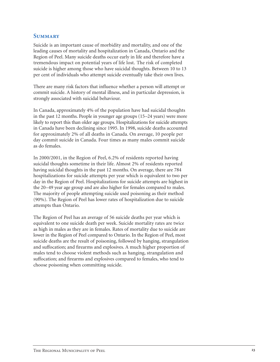#### **Summary**

Suicide is an important cause of morbidity and mortality, and one of the leading causes of mortality and hospitalization in Canada, Ontario and the Region of Peel. Many suicide deaths occur early in life and therefore have a tremendous impact on potential years of life lost. The risk of completed suicide is higher among those who have suicidal thoughts. Between 10 to 13 per cent of individuals who attempt suicide eventually take their own lives.

There are many risk factors that influence whether a person will attempt or commit suicide. A history of mental illness, and in particular depression, is strongly associated with suicidal behaviour.

In Canada, approximately 4% of the population have had suicidal thoughts in the past 12 months. People in younger age groups (15–24 years) were more likely to report this than older age groups. Hospitalizations for suicide attempts in Canada have been declining since 1995. In 1998, suicide deaths accounted for approximately 2% of all deaths in Canada. On average, 10 people per day commit suicide in Canada. Four times as many males commit suicide as do females.

In 2000/2001, in the Region of Peel, 6.2% of residents reported having suicidal thoughts sometime in their life. Almost 2% of residents reported having suicidal thoughts in the past 12 months. On average, there are 784 hospitalizations for suicide attempts per year which is equivalent to two per day in the Region of Peel. Hospitalizations for suicide attempts are highest in the 20–49 year age group and are also higher for females compared to males. The majority of people attempting suicide used poisoning as their method (90%). The Region of Peel has lower rates of hospitalization due to suicide attempts than Ontario.

The Region of Peel has an average of 56 suicide deaths per year which is equivalent to one suicide death per week. Suicide mortality rates are twice as high in males as they are in females. Rates of mortality due to suicide are lower in the Region of Peel compared to Ontario. In the Region of Peel, most suicide deaths are the result of poisoning, followed by hanging, strangulation and suffocation; and firearms and explosives. A much higher proportion of males tend to choose violent methods such as hanging, strangulation and suffocation; and firearms and explosives compared to females, who tend to choose poisoning when committing suicide.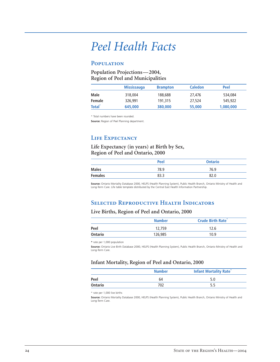## *Peel Health Facts*

#### **Population**

**Population Projections—2004, Region of Peel and Municipalities**

|              | <b>Mississauga</b> | <b>Brampton</b> | <b>Caledon</b> | Peel      |
|--------------|--------------------|-----------------|----------------|-----------|
| Male         | 318,004            | 188,688         | 27,476         | 534,084   |
| Female       | 326,991            | 191,315         | 27,524         | 545,922   |
| <b>Total</b> | 645,000            | 380,000         | 55,000         | 1,080,000 |

\* Total numbers have been rounded.

**Source:** Region of Peel Planning department.

#### **Life Expectancy**

**Life Expectancy (in years) at Birth by Sex, Region of Peel and Ontario, 2000**

|                | <b>Peel</b> | <b>Ontario</b> |
|----------------|-------------|----------------|
| <b>Males</b>   | 78.9        | 76.9           |
| <b>Females</b> | 83.3        |                |

**Source:** Ontario Mortality Database 2000, HELPS (Health Planning System), Public Health Branch, Ontario Ministry of Health and<br>Long-Term Care. Life table template distributed by the Central East Health Information Partner

#### **Selected Reproductive Health Indicators**

#### **Live Births, Region of Peel and Ontario, 2000**

|         | <b>Number</b> | <b>Crude Birth Rate<sup>*</sup></b> |  |  |  |
|---------|---------------|-------------------------------------|--|--|--|
| Peel    | 12,759        | 12.6                                |  |  |  |
| Ontario | 126,985       | 10.9                                |  |  |  |

**\*** rate per 1,000 population

**Source:** Ontario Live Birth Database 2000, HELPS (Health Planning System), Public Health Branch, Ontario Ministry of Health and Long-Term Care.

#### **Infant Mortality, Region of Peel and Ontario, 2000**

|                | <b>Number</b> | <b>Infant Mortality Rate<sup>*</sup></b> |  |  |
|----------------|---------------|------------------------------------------|--|--|
| Peel           | 64            | 5.0                                      |  |  |
| <b>Ontario</b> | 702           | 5.5                                      |  |  |

\* rate per 1,000 live births

**Source:** Ontario Mortality Database 2000, HELPS (Health Planning System), Public Health Branch, Ontario Ministry of Health and Long-Term Care.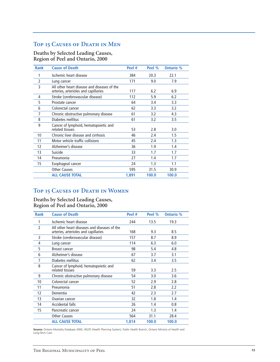#### **Top 15 Causes of Death in Men**

**Deaths by Selected Leading Causes, Region of Peel and Ontario, 2000**

| <b>Rank</b>    | <b>Cause of Death</b>                                                               | Peel # | Peel % | <b>Ontario %</b> |
|----------------|-------------------------------------------------------------------------------------|--------|--------|------------------|
| 1              | Ischemic heart disease                                                              | 384    | 20.3   | 22.1             |
| $\overline{2}$ | Lung cancer                                                                         | 171    | 9.0    | 7.9              |
| 3              | All other heart disease and diseases of the<br>arteries, arterioles and capillaries | 117    | 6.2    | 6.9              |
| 4              | Stroke (cerebrovascular disease)                                                    | 112    | 5.9    | 6.2              |
| 5              | Prostate cancer                                                                     | 64     | 3.4    | 3.3              |
| 6              | Colorectal cancer                                                                   | 62     | 3.3    | 3.2              |
| 7              | Chronic obstructive pulmonary disease                                               | 61     | 3.2    | 4.3              |
| 8              | Diabetes mellitus                                                                   | 61     | 3.2    | 3.5              |
| 9              | Cancer of lymphoid, hematopoietic and<br>related tissues                            | 53     | 2.8    | 3.0              |
| 10             | Chronic liver disease and cirrhosis                                                 | 46     | 2.4    | 1.5              |
| 11             | Motor vehicle traffic collisions                                                    | 45     | 2.4    | 1.3              |
| 12             | Alzheimer's disease                                                                 | 36     | 1.9    | 1.4              |
| 13             | Suicide                                                                             | 33     | 1.7    | 1.7              |
| 14             | Pneumonia                                                                           | 27     | 1.4    | 1.7              |
| 15             | Esophageal cancer                                                                   | 24     | 1.3    | 1.1              |
|                | <b>Other Causes</b>                                                                 | 595    | 31.5   | 30.9             |
|                | <b>ALL CAUSE TOTAL</b>                                                              | 1,891  | 100.0  | 100.0            |

#### **Top 15 Causes of Death in Women**

#### **Deaths by Selected Leading Causes, Region of Peel and Ontario, 2000**

| <b>Rank</b>    | <b>Cause of Death</b>                                                                | Peel# | Peel % | <b>Ontario %</b> |
|----------------|--------------------------------------------------------------------------------------|-------|--------|------------------|
| 1              | Ischemic heart disease                                                               | 244   | 13.5   | 19.3             |
| $\overline{2}$ | All other heart diseases and diseases of the<br>arteries, arterioles and capillaries | 168   | 9.3    | 8.5              |
| 3              | Stroke (cerebrovascular disease)                                                     | 157   | 8.7    | 8.9              |
| 4              | Lung cancer                                                                          | 114   | 6.3    | 6.0              |
| 5              | Breast cancer                                                                        | 98    | 5.4    | 4.8              |
| 6              | Alzheimer's disease                                                                  | 67    | 3.7    | 3.1              |
| 7              | Diabetes mellitus                                                                    | 62    | 3.4    | 3.5              |
| 8              | Cancer of lymphoid, hematopoietic and<br>related tissues                             | 59    | 3.3    | 2.5              |
| 9              | Chronic obstructive pulmonary disease                                                | 54    | 3.0    | 3.6              |
| 10             | Colorectal cancer                                                                    | 52    | 2.9    | 2.8              |
| 11             | Pneumonia                                                                            | 51    | 2.8    | 2.2              |
| 12             | Dementia                                                                             | 42    | 2.3    | 2.7              |
| 13             | Ovarian cancer                                                                       | 32    | 1.8    | 1.4              |
| 14             | Accidental falls                                                                     | 26    | 1.4    | 0.8              |
| 15             | Pancreatic cancer                                                                    | 24    | 1.3    | 1.4              |
|                | <b>Other Causes</b>                                                                  | 564   | 31.1   | 28.4             |
|                | <b>ALL CAUSE TOTAL</b>                                                               | 1.814 | 100.0  | 100.0            |

**Source:** Ontario Mortality Database 2000, HELPS (Health Planning System), Public Health Branch, Ontario Ministry of Health and Long-Term Care.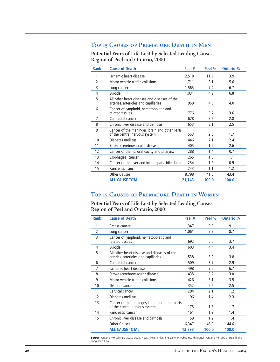#### **Top 15 Causes of Premature Death in Men**

**Potential Years of Life Lost by Selected Leading Causes, Region of Peel and Ontario, 2000**

| <b>Rank</b>    | <b>Cause of Death</b>                                                                | Peel # | Peel % | <b>Ontario %</b> |
|----------------|--------------------------------------------------------------------------------------|--------|--------|------------------|
| 1              | Ischemic heart disease                                                               | 2,518  | 11.9   | 13.9             |
| $\overline{2}$ | Motor vehicle traffic collisions                                                     | 1,711  | 8.1    | 5.6              |
| 3              | Lung cancer                                                                          | 1,565  | 7.4    | 6.7              |
| 4              | Suicide                                                                              | 1,031  | 4.9    | 6.8              |
| 5              | All other heart diseases and diseases of the<br>arteries, arterioles and capillaries | 959    | 4.5    | 4.0              |
| 6              | Cancer of lymphoid, hematopoietic and<br>related tissues                             | 776    | 3.7    | 3.6              |
| 7              | Colorectal cancer                                                                    | 678    | 3.2    | 2.8              |
| 8              | Chronic liver disease and cirrhosis                                                  | 653    | 3.1    | 2.5              |
| 9              | Cancer of the meninges, brain and other parts<br>of the central nervous system       | 553    | 2.6    | 1.7              |
| 10             | Diabetes mellitus                                                                    | 446    | 2.1    | 2.4              |
| 11             | Stroke (cerebrovascular disease)                                                     | 405    | 1.9    | 2.6              |
| 12             | Cancer of the lip, oral cavity and pharynx                                           | 288    | 1.4    | 0.7              |
| 13             | Esophageal cancer                                                                    | 265    | 1.3    | 1.1              |
| 14             | Cancer of the liver and intrahepatic bile ducts                                      | 254    | 1.2    | 0.9              |
| 15             | Pancreatic cancer                                                                    | 243    | 1.1    | 1.2              |
|                | <b>Other Causes</b>                                                                  | 8,798  | 41.6   | 43.4             |
|                | <b>ALL CAUSE TOTAL</b>                                                               | 21,143 | 100.0  | 100.0            |

#### **Top 15 Causes of Premature Death in Women**

**Potential Years of Life Lost by Selected Leading Causes, Region of Peel and Ontario, 2000**

| <b>Cause of Death</b>                                                               | Peel # | Peel %                                        | <b>Ontario %</b> |  |  |
|-------------------------------------------------------------------------------------|--------|-----------------------------------------------|------------------|--|--|
| Breast cancer                                                                       | 1,347  | 9.8                                           | 9.1              |  |  |
| Lung cancer                                                                         | 1,061  |                                               |                  |  |  |
| Cancer of lymphoid, hematopoietic and<br>related tissues                            | 692    | 5.0                                           | 3.7              |  |  |
| Suicide                                                                             | 603    | 4.4                                           | 3.4              |  |  |
| All other heart disease and diseases of the<br>arteries, arterioles and capillaries | 538    | 3.9                                           | 3.8              |  |  |
| Colorectal cancer                                                                   | 509    | 3.7                                           | 2.9              |  |  |
| Ischemic heart disease                                                              | 498    | 3.6                                           | 6.7              |  |  |
| Stroke (cerebrovascular disease)                                                    | 435    | 3.2                                           | 3.0              |  |  |
| Motor vehicle traffic collisions                                                    | 426    | 3.1                                           | 3.5              |  |  |
| Ovarian cancer                                                                      | 352    | 2.6                                           | 2.5              |  |  |
| Cervical cancer                                                                     | 294    | 2.1                                           | 1.2              |  |  |
| Diabetes mellitus                                                                   | 196    | 1.4                                           | 2.3              |  |  |
| of the central nervous system                                                       | 175    | 1.3                                           | 1.7              |  |  |
| Pancreatic cancer                                                                   | 161    | 1.2                                           | 1.4              |  |  |
| Chronic liver disease and cirrhosis                                                 | 159    | 1.2                                           | 1.4              |  |  |
| <b>Other Causes</b>                                                                 | 6,347  | 46.0                                          | 44.6             |  |  |
| <b>ALL CAUSE TOTAL</b>                                                              | 13,793 | 100.0                                         | 100.0            |  |  |
|                                                                                     |        | Cancer of the meninges, brain and other parts | 7.7              |  |  |

**Source:** Ontario Mortality Database 2000, HELPS (Health Planning System), Public Health Branch, Ontario Ministry of Health and Long-Term Care.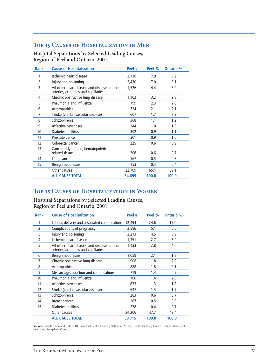#### **Top 15 Causes of Hospitalization in Men**

**Hospital Separations by Selected Leading Causes, Region of Peel and Ontario, 2001**

| <b>Rank</b>    | <b>Cause of Hospitalization</b>                                                     | Peel # | Peel % | <b>Ontario %</b> |
|----------------|-------------------------------------------------------------------------------------|--------|--------|------------------|
| 1              | Ischemic heart disease                                                              | 2,736  | 7.9    | 9.2              |
| $\overline{2}$ | Injury and poisoning                                                                | 2,430  | 7.0    | 8.1              |
| 3              | All other heart disease and diseases of the<br>arteries, arterioles and capillaries | 1,526  | 4.4    | 6.0              |
| 4              | Chronic obstructive lung disease                                                    | 1,102  | 3.2    | 2.8              |
| 5              | Pneumonia and influenza                                                             | 799    | 2.3    | 2.8              |
| 6              | Arthropathies                                                                       | 724    | 2.1    | 2.1              |
| 7              | Stroke (cerebrovascular disease)                                                    | 607    | 1.7    | 2.3              |
| 8              | Schizophrenia                                                                       | 368    | 1.1    | 1.2              |
| 9              | Affective psychoses                                                                 | 344    | 1.0    | 1.5              |
| 10             | Diabetes mellitus                                                                   | 302    | 0.9    | 1.1              |
| 11             | Prostate cancer                                                                     | 301    | 0.9    | 1.0              |
| 12             | Colorectal cancer                                                                   | 225    | 0.6    | 0.9              |
| 13             | Cancer of lymphoid, hematopoietic and<br>related tissue<br>206<br>0.7<br>0.6        |        |        |                  |
| 14             | 167<br>0.5<br>Lung cancer                                                           |        |        | 0.8              |
| 15             | Benign neoplasms                                                                    | 153    | 0.4    | 0.4              |
|                | Other causes                                                                        | 22,709 | 65.4   | 59.1             |
|                | <b>ALL CAUSE TOTAL</b>                                                              | 34,699 | 100.0  | 100.0            |

#### **Top 15 Causes of Hospitalization in Women**

**Hospital Separations by Selected Leading Causes, Region of Peel and Ontario, 2001**

| <b>Rank</b> | <b>Cause of Hospitalization</b>                                                     | Peel#  | Peel % | <b>Ontario</b> % |
|-------------|-------------------------------------------------------------------------------------|--------|--------|------------------|
| 1           | Labour, delivery and associated complications                                       | 12,494 | 24.6   | 17.0             |
| 2           | Complications of pregnancy                                                          | 2,596  | 5.1    | 5.0              |
| 3           | Injury and poisoning                                                                | 2,273  | 4.5    | 5.9              |
| 4           | Ischemic heart disease                                                              | 1,351  | 2.7    | 3.9              |
| 5           | All other heart disease and diseases of the<br>arteries, arterioles and capillaries | 1,433  | 2.8    | 4.0              |
| 6           | Benign neoplasms                                                                    | 1,059  | 2.1    | 1.8              |
| 7           | Chronic obstructive lung disease                                                    | 908    | 1.8    | 2.0              |
| 8           | Arthropathies                                                                       | 888    | 1.8    | 2.1              |
| 9           | Miscarriage, abortion and complications                                             | 719    | 1.4    | 0.9              |
| 10          | Pneumonia and influenza                                                             | 700    | 1.4    | 2.0              |
| 11          | Affective psychoses                                                                 | 673    | 1.3    | 1.8              |
| 12          | Stroke (cerebrovascular disease)                                                    | 637    | 1.3    | 1.7              |
| 13          | Schizophrenia                                                                       | 283    | 0.6    | 0.7              |
| 14          | Breast cancer                                                                       | 267    | 0.5    | 0.9              |
| 15          | Diabetes mellitus                                                                   | 228    | 0.4    | 0.7              |
|             | Other causes                                                                        | 24,206 | 47.7   | 49.4             |
|             | <b>ALL CAUSE TOTAL</b>                                                              | 50,715 | 100.0  | 100.0            |

**Source:** Hospital In-Patient Data 2001, Provincial Health Planning Database (PHPDB), Health Planning Branch, Ontario Ministry of Health and Long-Term Care.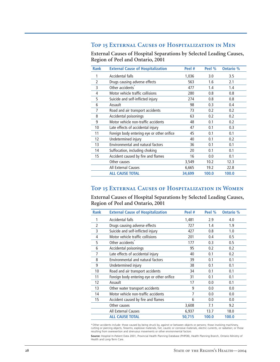#### **Top 15 External Causes of Hospitalization in Men**

**External Causes of Hospital Separations by Selected Leading Causes, Region of Peel and Ontario, 2001**

| <b>Rank</b>    | <b>External Cause of Hospitalization</b>   | Peel #     | Peel % | <b>Ontario %</b> |  |  |  |
|----------------|--------------------------------------------|------------|--------|------------------|--|--|--|
| 1              | Accidental falls                           | 1,036      | 3.0    | 3.5              |  |  |  |
| $\overline{2}$ | Drugs causing adverse effects              | 563        | 1.6    | 2.1              |  |  |  |
| 3              | Other accidents                            | 477<br>1.4 |        |                  |  |  |  |
| 4              | Motor vehicle traffic collisions           | 280        | 0.8    | 0.8              |  |  |  |
| 5              | Suicide and self-inflicted injury          | 274        | 0.8    | 0.8              |  |  |  |
| 6              | Assault                                    | 98         | 0.3    | 0.4              |  |  |  |
| 7              | Road and air transport accidents           | 73         | 0.2    | 0.2              |  |  |  |
| 8              | Accidental poisonings                      | 63         | 0.2    | 0.2              |  |  |  |
| 9              | Motor vehicle non-traffic accidents        | 48         | 0.1    | 0.2              |  |  |  |
| 10             | Late effects of accidental injury          | 47         | 0.1    | 0.3              |  |  |  |
| 11             | Foreign body entering eye or other orifice | 45         | 0.1    | 0.1              |  |  |  |
| 12             | Undetermined injury                        | 40         | 0.1    | 0.2              |  |  |  |
| 13             | Environmental and natural factors          | 36         | 0.1    | 0.1              |  |  |  |
| 14             | Suffocation, including choking             | 20         | 0.1    | 0.1              |  |  |  |
| 15             | Accident caused by fire and flames         | 16         | 0.0    | 0.1              |  |  |  |
|                | Other causes                               |            | 10.2   | 12.3             |  |  |  |
|                | All External Causes                        | 6,665      | 19.2   | 22.8             |  |  |  |
|                | <b>ALL CAUSE TOTAL</b>                     | 34,699     | 100.0  | 100.0            |  |  |  |

#### **Top 15 External Causes of Hospitalization in Women**

**External Causes of Hospital Separations by Selected Leading Causes, Region of Peel and Ontario, 2001**

| <b>Rank</b>    | <b>External Cause of Hospitalization</b>   | Peel # | Peel % | <b>Ontario %</b> |  |
|----------------|--------------------------------------------|--------|--------|------------------|--|
| 1              | Accidental falls                           | 1,481  | 2.9    | 4.0              |  |
| $\overline{2}$ | Drugs causing adverse effects              | 727    | 1.4    | 1.9              |  |
| 3              | Suicide and self-inflicted injury          | 427    | 0.8    | 1.0              |  |
| 4              | Motor vehicle traffic collisions           | 201    | 0.4    | 0.5              |  |
| 5              | Other accidents <sup>®</sup>               | 177    | 0.3    | 0.5              |  |
| 6              | Accidental poisonings                      | 95     | 0.2    | 0.2              |  |
| 7              | Late effects of accidental injury          | 40     | 0.1    | 0.2              |  |
| 8              | Environmental and natural factors          | 39     | 0.1    | 0.1              |  |
| 9              | Undetermined injury                        | 38     | 0.1    | 0.1              |  |
| 10             | Road and air transport accidents           | 34     | 0.1    | 0.1              |  |
| 11             | Foreign body entering eye or other orifice | 31     | 0.1    | 0.1              |  |
| 12             | Assault                                    | 17     | 0.0    | 0.1              |  |
| 13             | Other water transport accidents            | 9      | 0.0    | 0.0              |  |
| 14             | Motor vehicle non-traffic accidents        | 7      | 0.0    | 0.0              |  |
| 15             | Accident caused by fire and flames         | 6      | 0.0    | 0.0              |  |
|                | Other causes                               | 3,608  | 7.1    | 9.2              |  |
|                | <b>All External Causes</b>                 | 6,937  | 13.7   | 18.0             |  |
|                | <b>ALL CAUSE TOTAL</b>                     | 50,715 | 100.0  | 100.0            |  |
|                |                                            |        |        |                  |  |

\*Other accidents include: those caused by being struck by, against or between objects or persons; those involving machinery, cutting or piercing objects, firearms, explosive materials, hot, caustic or corrosive materials, electric currents, or radiation; or those resulting from overexertion and strenuous movements or other environmental factors

**Source:** Hospital In-Patient Data 2001, Provincial Health Planning Database (PHPDB), Health Planning Branch, Ontario Ministry of Health and Long-Term Care.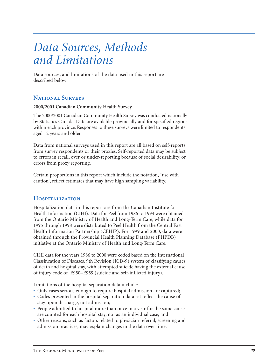## *Data Sources, Methods and Limitations*

Data sources, and limitations of the data used in this report are described below:

#### **National Surveys**

#### **2000/2001 Canadian Community Health Survey**

The 2000/2001 Canadian Community Health Survey was conducted nationally by Statistics Canada. Data are available provincially and for specified regions within each province. Responses to these surveys were limited to respondents aged 12 years and older.

Data from national surveys used in this report are all based on self-reports from survey respondents or their proxies. Self-reported data may be subject to errors in recall, over or under-reporting because of social desirability, or errors from proxy reporting.

Certain proportions in this report which include the notation, "use with caution", reflect estimates that may have high sampling variability.

#### **Hospitalization**

Hospitalization data in this report are from the Canadian Institute for Health Information (CIHI). Data for Peel from 1986 to 1994 were obtained from the Ontario Ministry of Health and Long-Term Care, while data for 1995 through 1998 were distributed to Peel Health from the Central East Health Information Partnership (CEHIP). For 1999 and 2000, data were obtained through the Provincial Health Planning Database (PHPDB) initiative at the Ontario Ministry of Health and Long-Term Care.

CIHI data for the years 1986 to 2000 were coded based on the International Classification of Diseases, 9th Revision (ICD-9) system of classifying causes of death and hospital stay, with attempted suicide having the external cause of injury code of E950–E959 (suicide and self-inflicted injury).

Limitations of the hospital separation data include:

- Only cases serious enough to require hospital admission are captured;
- Codes presented in the hospital separation data set reflect the cause of stay upon discharge, not admission;
- People admitted to hospital more than once in a year for the same cause are counted for each hospital stay, not as an individual case; and
- Other reasons, such as factors related to physician referral, screening and admission practices, may explain changes in the data over time.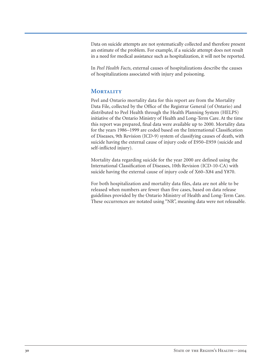Data on suicide attempts are not systematically collected and therefore present an estimate of the problem. For example, if a suicide attempt does not result in a need for medical assistance such as hospitalization, it will not be reported.

In *Peel Health Facts*, external causes of hospitalizations describe the causes of hospitalizations associated with injury and poisoning.

#### **MORTALITY**

Peel and Ontario mortality data for this report are from the Mortality Data File, collected by the Office of the Registrar General (of Ontario) and distributed to Peel Health through the Health Planning System (HELPS) initiative of the Ontario Ministry of Health and Long-Term Care. At the time this report was prepared, final data were available up to 2000. Mortality data for the years 1986–1999 are coded based on the International Classification of Diseases, 9th Revision (ICD-9) system of classifying causes of death, with suicide having the external cause of injury code of E950–E959 (suicide and self-inflicted injury).

Mortality data regarding suicide for the year 2000 are defined using the International Classification of Diseases, 10th Revision (ICD-10-CA) with suicide having the external cause of injury code of X60–X84 and Y870.

For both hospitalization and mortality data files, data are not able to be released when numbers are fewer than five cases, based on data release guidelines provided by the Ontario Ministry of Health and Long-Term Care. These occurrences are notated using "NR", meaning data were not releasable.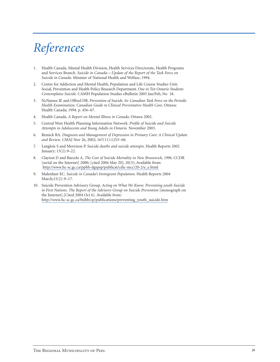## *References*

- 1. Health Canada, Mental Health Division, Health Services Directorate, Health Programs and Services Branch. *Suicide in Canada—Update of the Report of the Task Force on Suicide in Canada*. Minister of National Health and Welfare, 1994.
- 2. Centre for Addiction and Mental Health, Population and Life Course Studies Unit; Social, Prevention and Health Policy Research Department. *One in Ten Ontario Students Contemplates Suicide*. CAMH Population Studies eBulletin 2003 Jan/Feb, No 18.
- 3. NcNamee JE and Offord DR. *Prevention of Suicide. In: Canadian Task Force on the Periodic Health Examination: Canadian Guide to Clinical Preventative Health Care*. Ottawa: Health Canada; 1994. p. 456–67.
- 4. Health Canada. *A Report on Mental Illness in Canada*. Ottawa 2002.
- 5. Central West Health Planning Information Network. *Profile of Suicide and Suicide Attempts in Adolescents and Young Adults in Ontario.* November 2003.
- 6. Remick RA. *Diagnosis and Management of Depression in Primary Care: A Clinical Update and Review*. CMAJ Nov 26, 2002; 167(11):1253–60.
- 7. Langlois S and Morrison P. *Suicide deaths and suicide attempts*. Health Reports 2002 January; 13(2):9–22.
- 8. Clayton D and Barcelo A. *The Cost of Suicide Mortality in New Brunswick, 1996*. CCDR [serial on the Internet] 2000; [cited 2004 May 20]; 20(3); Available from: http://www.hc-sc.gc.ca/pphb-dgspsp/publicat/cdic-mcc/20-2/e\_e.html
- 9. Malenfant EC. *Suicide in Canada's Immigrant Population*. Health Reports 2004 March;15(2): 9-17.
- 10. Suicide Prevention Advisory Group. *Acting on What We Know: Preventing youth Suicide in First Nations. The Report of the Advisory Group on Suicide Prevention* [monograph on the Internet].[Cited 2004 Oct 6]. Available from: http://www.hc-sc.gc.ca/fnihb/cp/publications/preventing\_youth\_suicide.htm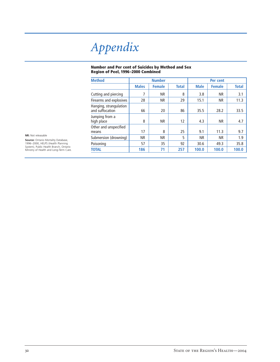## *Appendix*

#### **Number and Per cent of Suicides by Method and Sex Region of Peel, 1996–2000 Combined**

| <b>Method</b>                             | <b>Number</b> |               |                   | Per cent    |               |              |
|-------------------------------------------|---------------|---------------|-------------------|-------------|---------------|--------------|
|                                           | <b>Males</b>  | <b>Female</b> | <b>Total</b>      | <b>Male</b> | <b>Female</b> | <b>Total</b> |
| Cutting and piercing                      | 7             | <b>NR</b>     | 8                 | 3.8         | <b>NR</b>     | 3.1          |
| Firearms and explosives                   | 28            | ΝR            | 29                | 15.1        | <b>NR</b>     | 11.3         |
| Hanging, strangulation<br>and suffocation | 66            | 20            | 86                | 35.5        | 28.2          | 33.5         |
| Jumping from a<br>high place              | 8             | <b>NR</b>     | $12 \overline{ }$ | 4.3         | <b>NR</b>     | 4.7          |
| Other and unspecified<br>means            | 17            | 8             | 25                | 9.1         | 11.3          | 9.7          |
| Submersion (drowning)                     | <b>NR</b>     | ΝR            | 5                 | <b>NR</b>   | <b>NR</b>     | 1.9          |
| Poisoning                                 | 57            | 35            | 92                | 30.6        | 49.3          | 35.8         |
| <b>TOTAL</b>                              | 186           | 71            | 257               | 100.0       | 100.0         | 100.0        |

**NR:** Not releasable

**Source:** Ontario Mortality Database, 1996–2000, HELPS (Health Planning System), Public Health Branch, Ontario Ministry of Health and Long-Term Care.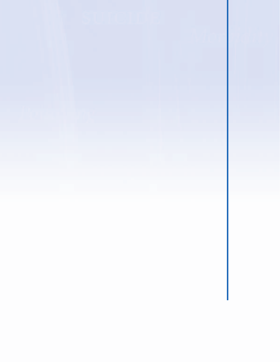